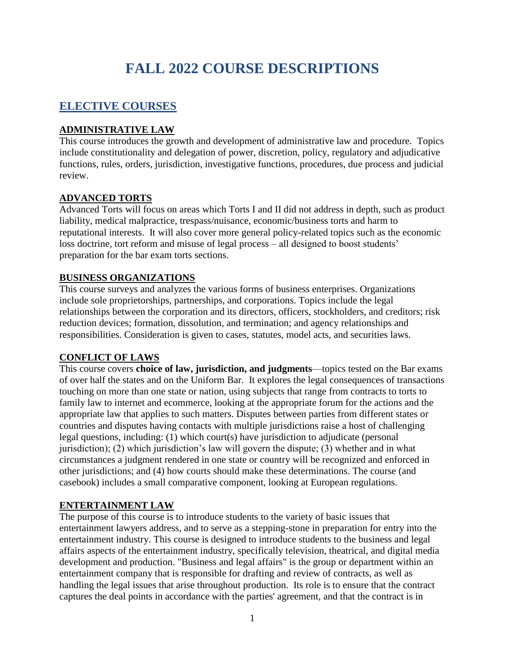# **FALL 2022 COURSE DESCRIPTIONS**

# **ELECTIVE COURSES**

# **ADMINISTRATIVE LAW**

This course introduces the growth and development of administrative law and procedure. Topics include constitutionality and delegation of power, discretion, policy, regulatory and adjudicative functions, rules, orders, jurisdiction, investigative functions, procedures, due process and judicial review.

# **ADVANCED TORTS**

Advanced Torts will focus on areas which Torts I and II did not address in depth, such as product liability, medical malpractice, trespass/nuisance, economic/business torts and harm to reputational interests. It will also cover more general policy-related topics such as the economic loss doctrine, tort reform and misuse of legal process – all designed to boost students' preparation for the bar exam torts sections.

# **BUSINESS ORGANIZATIONS**

This course surveys and analyzes the various forms of business enterprises. Organizations include sole proprietorships, partnerships, and corporations. Topics include the legal relationships between the corporation and its directors, officers, stockholders, and creditors; risk reduction devices; formation, dissolution, and termination; and agency relationships and responsibilities. Consideration is given to cases, statutes, model acts, and securities laws.

# **CONFLICT OF LAWS**

This course covers **choice of law, jurisdiction, and judgments**—topics tested on the Bar exams of over half the states and on the Uniform Bar. It explores the legal consequences of transactions touching on more than one state or nation, using subjects that range from contracts to torts to family law to internet and ecommerce, looking at the appropriate forum for the actions and the appropriate law that applies to such matters. Disputes between parties from different states or countries and disputes having contacts with multiple jurisdictions raise a host of challenging legal questions, including: (1) which court(s) have jurisdiction to adjudicate (personal jurisdiction); (2) which jurisdiction's law will govern the dispute; (3) whether and in what circumstances a judgment rendered in one state or country will be recognized and enforced in other jurisdictions; and (4) how courts should make these determinations. The course (and casebook) includes a small comparative component, looking at European regulations.

# **ENTERTAINMENT LAW**

The purpose of this course is to introduce students to the variety of basic issues that entertainment lawyers address, and to serve as a stepping-stone in preparation for entry into the entertainment industry. This course is designed to introduce students to the business and legal affairs aspects of the entertainment industry, specifically television, theatrical, and digital media development and production. "Business and legal affairs" is the group or department within an entertainment company that is responsible for drafting and review of contracts, as well as handling the legal issues that arise throughout production. Its role is to ensure that the contract captures the deal points in accordance with the parties' agreement, and that the contract is in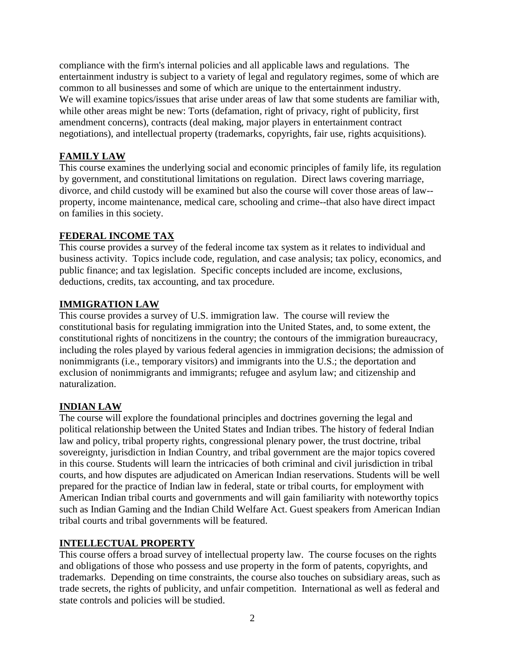compliance with the firm's internal policies and all applicable laws and regulations. The entertainment industry is subject to a variety of legal and regulatory regimes, some of which are common to all businesses and some of which are unique to the entertainment industry. We will examine topics/issues that arise under areas of law that some students are familiar with, while other areas might be new: Torts (defamation, right of privacy, right of publicity, first amendment concerns), contracts (deal making, major players in entertainment contract negotiations), and intellectual property (trademarks, copyrights, fair use, rights acquisitions).

# **FAMILY LAW**

This course examines the underlying social and economic principles of family life, its regulation by government, and constitutional limitations on regulation. Direct laws covering marriage, divorce, and child custody will be examined but also the course will cover those areas of law- property, income maintenance, medical care, schooling and crime--that also have direct impact on families in this society.

# **FEDERAL INCOME TAX**

This course provides a survey of the federal income tax system as it relates to individual and business activity. Topics include code, regulation, and case analysis; tax policy, economics, and public finance; and tax legislation. Specific concepts included are income, exclusions, deductions, credits, tax accounting, and tax procedure.

# **IMMIGRATION LAW**

This course provides a survey of U.S. immigration law. The course will review the constitutional basis for regulating immigration into the United States, and, to some extent, the constitutional rights of noncitizens in the country; the contours of the immigration bureaucracy, including the roles played by various federal agencies in immigration decisions; the admission of nonimmigrants (i.e., temporary visitors) and immigrants into the U.S.; the deportation and exclusion of nonimmigrants and immigrants; refugee and asylum law; and citizenship and naturalization.

# **INDIAN LAW**

The course will explore the foundational principles and doctrines governing the legal and political relationship between the United States and Indian tribes. The history of federal Indian law and policy, tribal property rights, congressional plenary power, the trust doctrine, tribal sovereignty, jurisdiction in Indian Country, and tribal government are the major topics covered in this course. Students will learn the intricacies of both criminal and civil jurisdiction in tribal courts, and how disputes are adjudicated on American Indian reservations. Students will be well prepared for the practice of Indian law in federal, state or tribal courts, for employment with American Indian tribal courts and governments and will gain familiarity with noteworthy topics such as Indian Gaming and the Indian Child Welfare Act. Guest speakers from American Indian tribal courts and tribal governments will be featured.

# **INTELLECTUAL PROPERTY**

This course offers a broad survey of intellectual property law. The course focuses on the rights and obligations of those who possess and use property in the form of patents, copyrights, and trademarks. Depending on time constraints, the course also touches on subsidiary areas, such as trade secrets, the rights of publicity, and unfair competition. International as well as federal and state controls and policies will be studied.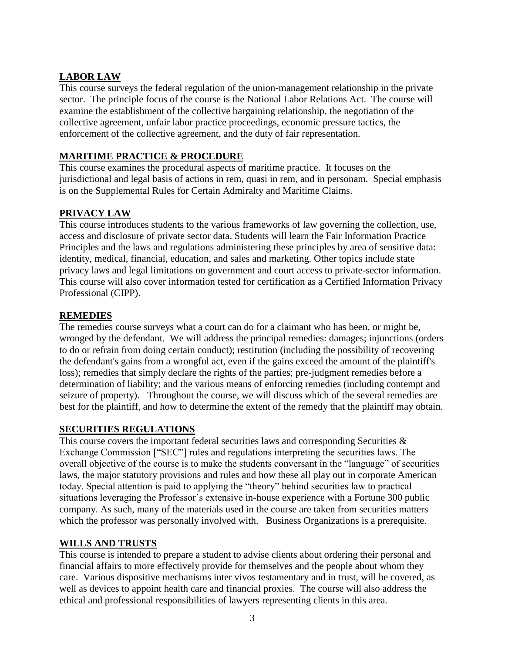# **LABOR LAW**

This course surveys the federal regulation of the union-management relationship in the private sector. The principle focus of the course is the National Labor Relations Act. The course will examine the establishment of the collective bargaining relationship, the negotiation of the collective agreement, unfair labor practice proceedings, economic pressure tactics, the enforcement of the collective agreement, and the duty of fair representation.

# **MARITIME PRACTICE & PROCEDURE**

This course examines the procedural aspects of maritime practice. It focuses on the jurisdictional and legal basis of actions in rem, quasi in rem, and in personam. Special emphasis is on the Supplemental Rules for Certain Admiralty and Maritime Claims.

# **PRIVACY LAW**

This course introduces students to the various frameworks of law governing the collection, use, access and disclosure of private sector data. Students will learn the Fair Information Practice Principles and the laws and regulations administering these principles by area of sensitive data: identity, medical, financial, education, and sales and marketing. Other topics include state privacy laws and legal limitations on government and court access to private-sector information. This course will also cover information tested for certification as a Certified Information Privacy Professional (CIPP).

### **REMEDIES**

The remedies course surveys what a court can do for a claimant who has been, or might be, wronged by the defendant. We will address the principal remedies: damages; injunctions (orders to do or refrain from doing certain conduct); restitution (including the possibility of recovering the defendant's gains from a wrongful act, even if the gains exceed the amount of the plaintiff's loss); remedies that simply declare the rights of the parties; pre-judgment remedies before a determination of liability; and the various means of enforcing remedies (including contempt and seizure of property). Throughout the course, we will discuss which of the several remedies are best for the plaintiff, and how to determine the extent of the remedy that the plaintiff may obtain.

### **SECURITIES REGULATIONS**

This course covers the important federal securities laws and corresponding Securities  $\&$ Exchange Commission ["SEC"] rules and regulations interpreting the securities laws. The overall objective of the course is to make the students conversant in the "language" of securities laws, the major statutory provisions and rules and how these all play out in corporate American today. Special attention is paid to applying the "theory" behind securities law to practical situations leveraging the Professor's extensive in-house experience with a Fortune 300 public company. As such, many of the materials used in the course are taken from securities matters which the professor was personally involved with. Business Organizations is a prerequisite.

### **WILLS AND TRUSTS**

This course is intended to prepare a student to advise clients about ordering their personal and financial affairs to more effectively provide for themselves and the people about whom they care. Various dispositive mechanisms inter vivos testamentary and in trust, will be covered, as well as devices to appoint health care and financial proxies. The course will also address the ethical and professional responsibilities of lawyers representing clients in this area.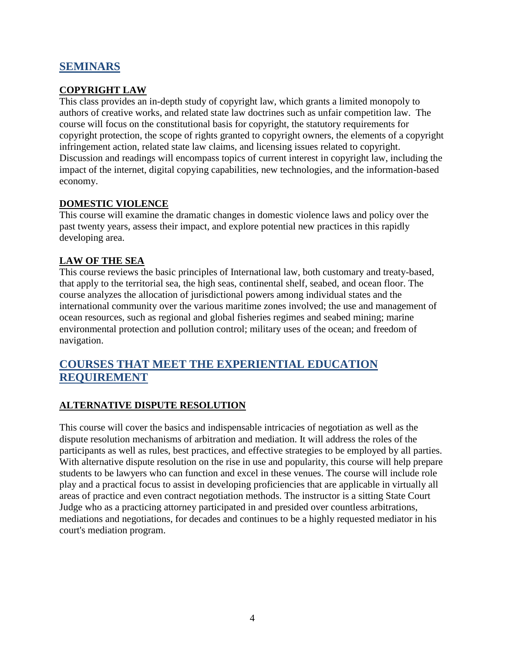# **SEMINARS**

#### **COPYRIGHT LAW**

This class provides an in-depth study of copyright law, which grants a limited monopoly to authors of creative works, and related state law doctrines such as unfair competition law. The course will focus on the constitutional basis for copyright, the statutory requirements for copyright protection, the scope of rights granted to copyright owners, the elements of a copyright infringement action, related state law claims, and licensing issues related to copyright. Discussion and readings will encompass topics of current interest in copyright law, including the impact of the internet, digital copying capabilities, new technologies, and the information-based economy.

#### **DOMESTIC VIOLENCE**

This course will examine the dramatic changes in domestic violence laws and policy over the past twenty years, assess their impact, and explore potential new practices in this rapidly developing area.

### **LAW OF THE SEA**

This course reviews the basic principles of International law, both customary and treaty-based, that apply to the territorial sea, the high seas, continental shelf, seabed, and ocean floor. The course analyzes the allocation of jurisdictional powers among individual states and the international community over the various maritime zones involved; the use and management of ocean resources, such as regional and global fisheries regimes and seabed mining; marine environmental protection and pollution control; military uses of the ocean; and freedom of navigation.

# **COURSES THAT MEET THE EXPERIENTIAL EDUCATION REQUIREMENT**

### **ALTERNATIVE DISPUTE RESOLUTION**

This course will cover the basics and indispensable intricacies of negotiation as well as the dispute resolution mechanisms of arbitration and mediation. It will address the roles of the participants as well as rules, best practices, and effective strategies to be employed by all parties. With alternative dispute resolution on the rise in use and popularity, this course will help prepare students to be lawyers who can function and excel in these venues. The course will include role play and a practical focus to assist in developing proficiencies that are applicable in virtually all areas of practice and even contract negotiation methods. The instructor is a sitting State Court Judge who as a practicing attorney participated in and presided over countless arbitrations, mediations and negotiations, for decades and continues to be a highly requested mediator in his court's mediation program.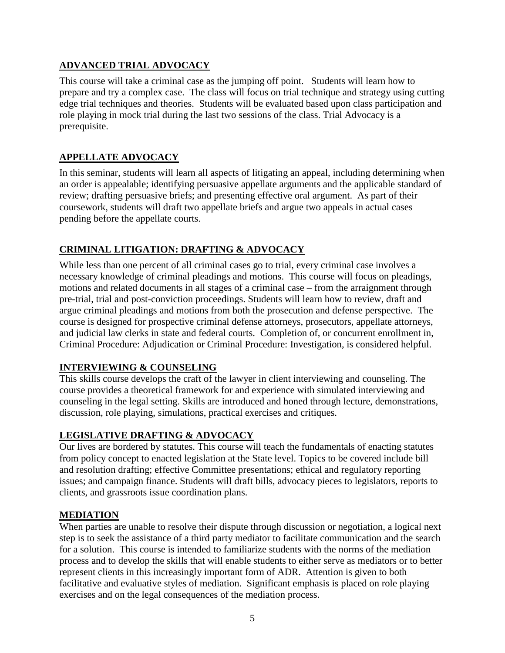# **ADVANCED TRIAL ADVOCACY**

This course will take a criminal case as the jumping off point. Students will learn how to prepare and try a complex case. The class will focus on trial technique and strategy using cutting edge trial techniques and theories. Students will be evaluated based upon class participation and role playing in mock trial during the last two sessions of the class. Trial Advocacy is a prerequisite.

# **APPELLATE ADVOCACY**

In this seminar, students will learn all aspects of litigating an appeal, including determining when an order is appealable; identifying persuasive appellate arguments and the applicable standard of review; drafting persuasive briefs; and presenting effective oral argument. As part of their coursework, students will draft two appellate briefs and argue two appeals in actual cases pending before the appellate courts.

# **CRIMINAL LITIGATION: DRAFTING & ADVOCACY**

While less than one percent of all criminal cases go to trial, every criminal case involves a necessary knowledge of criminal pleadings and motions. This course will focus on pleadings, motions and related documents in all stages of a criminal case – from the arraignment through pre-trial, trial and post-conviction proceedings. Students will learn how to review, draft and argue criminal pleadings and motions from both the prosecution and defense perspective. The course is designed for prospective criminal defense attorneys, prosecutors, appellate attorneys, and judicial law clerks in state and federal courts. Completion of, or concurrent enrollment in, Criminal Procedure: Adjudication or Criminal Procedure: Investigation, is considered helpful.

### **INTERVIEWING & COUNSELING**

This skills course develops the craft of the lawyer in client interviewing and counseling. The course provides a theoretical framework for and experience with simulated interviewing and counseling in the legal setting. Skills are introduced and honed through lecture, demonstrations, discussion, role playing, simulations, practical exercises and critiques.

# **LEGISLATIVE DRAFTING & ADVOCACY**

Our lives are bordered by statutes. This course will teach the fundamentals of enacting statutes from policy concept to enacted legislation at the State level. Topics to be covered include bill and resolution drafting; effective Committee presentations; ethical and regulatory reporting issues; and campaign finance. Students will draft bills, advocacy pieces to legislators, reports to clients, and grassroots issue coordination plans.

### **MEDIATION**

When parties are unable to resolve their dispute through discussion or negotiation, a logical next step is to seek the assistance of a third party mediator to facilitate communication and the search for a solution. This course is intended to familiarize students with the norms of the mediation process and to develop the skills that will enable students to either serve as mediators or to better represent clients in this increasingly important form of ADR. Attention is given to both facilitative and evaluative styles of mediation. Significant emphasis is placed on role playing exercises and on the legal consequences of the mediation process.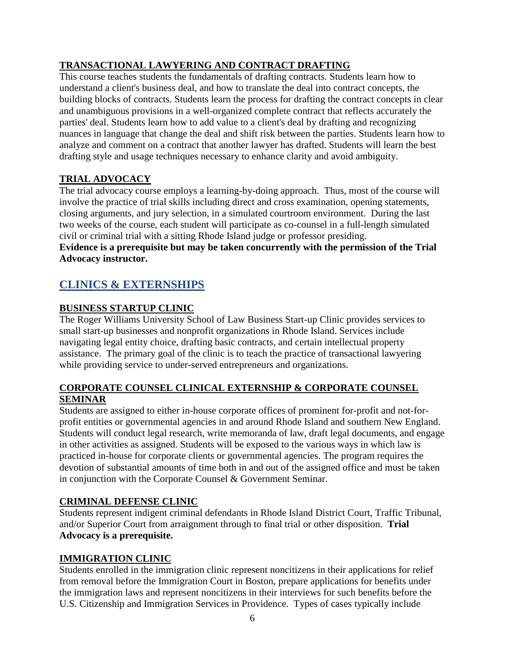# **TRANSACTIONAL LAWYERING AND CONTRACT DRAFTING**

This course teaches students the fundamentals of drafting contracts. Students learn how to understand a client's business deal, and how to translate the deal into contract concepts, the building blocks of contracts. Students learn the process for drafting the contract concepts in clear and unambiguous provisions in a well-organized complete contract that reflects accurately the parties' deal. Students learn how to add value to a client's deal by drafting and recognizing nuances in language that change the deal and shift risk between the parties. Students learn how to analyze and comment on a contract that another lawyer has drafted. Students will learn the best drafting style and usage techniques necessary to enhance clarity and avoid ambiguity.

# **TRIAL ADVOCACY**

The trial advocacy course employs a learning-by-doing approach. Thus, most of the course will involve the practice of trial skills including direct and cross examination, opening statements, closing arguments, and jury selection, in a simulated courtroom environment. During the last two weeks of the course, each student will participate as co-counsel in a full-length simulated civil or criminal trial with a sitting Rhode Island judge or professor presiding.

#### **Evidence is a prerequisite but may be taken concurrently with the permission of the Trial Advocacy instructor.**

# **CLINICS & EXTERNSHIPS**

# **BUSINESS STARTUP CLINIC**

The Roger Williams University School of Law Business Start-up Clinic provides services to small start-up businesses and nonprofit organizations in Rhode Island. Services include navigating legal entity choice, drafting basic contracts, and certain intellectual property assistance. The primary goal of the clinic is to teach the practice of transactional lawyering while providing service to under-served entrepreneurs and organizations.

### **CORPORATE COUNSEL CLINICAL EXTERNSHIP & CORPORATE COUNSEL SEMINAR**

Students are assigned to either in-house corporate offices of prominent for-profit and not-forprofit entities or governmental agencies in and around Rhode Island and southern New England. Students will conduct legal research, write memoranda of law, draft legal documents, and engage in other activities as assigned. Students will be exposed to the various ways in which law is practiced in-house for corporate clients or governmental agencies. The program requires the devotion of substantial amounts of time both in and out of the assigned office and must be taken in conjunction with the Corporate Counsel & Government Seminar.

### **CRIMINAL DEFENSE CLINIC**

Students represent indigent criminal defendants in Rhode Island District Court, Traffic Tribunal, and/or Superior Court from arraignment through to final trial or other disposition. **Trial Advocacy is a prerequisite.**

# **IMMIGRATION CLINIC**

Students enrolled in the immigration clinic represent noncitizens in their applications for relief from removal before the Immigration Court in Boston, prepare applications for benefits under the immigration laws and represent noncitizens in their interviews for such benefits before the U.S. Citizenship and Immigration Services in Providence. Types of cases typically include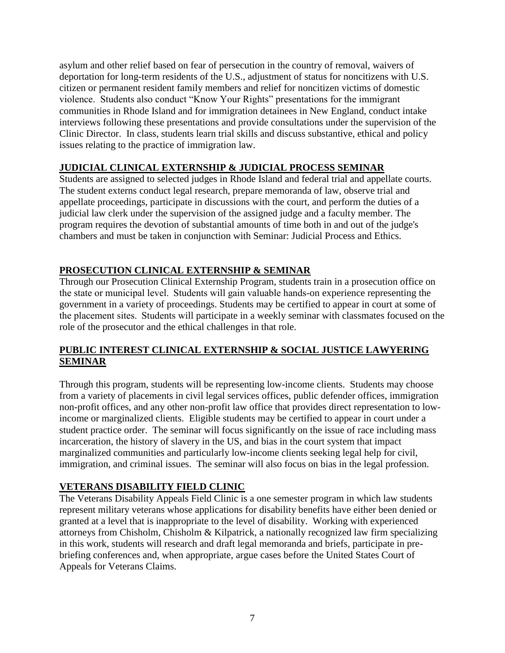asylum and other relief based on fear of persecution in the country of removal, waivers of deportation for long-term residents of the U.S., adjustment of status for noncitizens with U.S. citizen or permanent resident family members and relief for noncitizen victims of domestic violence. Students also conduct "Know Your Rights" presentations for the immigrant communities in Rhode Island and for immigration detainees in New England, conduct intake interviews following these presentations and provide consultations under the supervision of the Clinic Director. In class, students learn trial skills and discuss substantive, ethical and policy issues relating to the practice of immigration law.

### **JUDICIAL CLINICAL EXTERNSHIP & JUDICIAL PROCESS SEMINAR**

Students are assigned to selected judges in Rhode Island and federal trial and appellate courts. The student externs conduct legal research, prepare memoranda of law, observe trial and appellate proceedings, participate in discussions with the court, and perform the duties of a judicial law clerk under the supervision of the assigned judge and a faculty member. The program requires the devotion of substantial amounts of time both in and out of the judge's chambers and must be taken in conjunction with Seminar: Judicial Process and Ethics.

# **PROSECUTION CLINICAL EXTERNSHIP & SEMINAR**

Through our Prosecution Clinical Externship Program, students train in a prosecution office on the state or municipal level.  Students will gain valuable hands-on experience representing the government in a variety of proceedings. Students may be certified to appear in court at some of the placement sites.  Students will participate in a weekly seminar with classmates focused on the role of the prosecutor and the ethical challenges in that role.

# **PUBLIC INTEREST CLINICAL EXTERNSHIP & SOCIAL JUSTICE LAWYERING SEMINAR**

Through this program, students will be representing low-income clients. Students may choose from a variety of placements in civil legal services offices, public defender offices, immigration non-profit offices, and any other non-profit law office that provides direct representation to lowincome or marginalized clients. Eligible students may be certified to appear in court under a student practice order. The seminar will focus significantly on the issue of race including mass incarceration, the history of slavery in the US, and bias in the court system that impact marginalized communities and particularly low-income clients seeking legal help for civil, immigration, and criminal issues. The seminar will also focus on bias in the legal profession.

# **VETERANS DISABILITY FIELD CLINIC**

The Veterans Disability Appeals Field Clinic is a one semester program in which law students represent military veterans whose applications for disability benefits have either been denied or granted at a level that is inappropriate to the level of disability. Working with experienced attorneys from Chisholm, Chisholm & Kilpatrick, a nationally recognized law firm specializing in this work, students will research and draft legal memoranda and briefs, participate in prebriefing conferences and, when appropriate, argue cases before the United States Court of Appeals for Veterans Claims.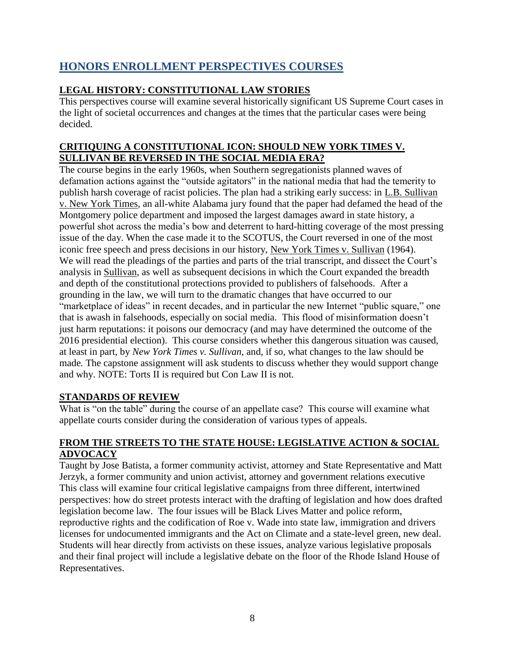# **HONORS ENROLLMENT PERSPECTIVES COURSES**

# **LEGAL HISTORY: CONSTITUTIONAL LAW STORIES**

This perspectives course will examine several historically significant US Supreme Court cases in the light of societal occurrences and changes at the times that the particular cases were being decided.

### **CRITIQUING A CONSTITUTIONAL ICON: SHOULD NEW YORK TIMES V. SULLIVAN BE REVERSED IN THE SOCIAL MEDIA ERA?**

The course begins in the early 1960s, when Southern segregationists planned waves of defamation actions against the "outside agitators" in the national media that had the temerity to publish harsh coverage of racist policies. The plan had a striking early success: in L.B. Sullivan v. New York Times, an all-white Alabama jury found that the paper had defamed the head of the Montgomery police department and imposed the largest damages award in state history, a powerful shot across the media's bow and deterrent to hard-hitting coverage of the most pressing issue of the day. When the case made it to the SCOTUS, the Court reversed in one of the most iconic free speech and press decisions in our history, New York Times v. Sullivan (1964). We will read the pleadings of the parties and parts of the trial transcript, and dissect the Court's analysis in Sullivan, as well as subsequent decisions in which the Court expanded the breadth and depth of the constitutional protections provided to publishers of falsehoods. After a grounding in the law, we will turn to the dramatic changes that have occurred to our "marketplace of ideas" in recent decades, and in particular the new Internet "public square," one that is awash in falsehoods, especially on social media. This flood of misinformation doesn't just harm reputations: it poisons our democracy (and may have determined the outcome of the 2016 presidential election). This course considers whether this dangerous situation was caused, at least in part, by *New York Times v. Sullivan,* and, if so, what changes to the law should be made*.* The capstone assignment will ask students to discuss whether they would support change and why. NOTE: Torts II is required but Con Law II is not.

# **STANDARDS OF REVIEW**

What is "on the table" during the course of an appellate case? This course will examine what appellate courts consider during the consideration of various types of appeals.

### **FROM THE STREETS TO THE STATE HOUSE: LEGISLATIVE ACTION & SOCIAL ADVOCACY**

Taught by Jose Batista, a former community activist, attorney and State Representative and Matt Jerzyk, a former community and union activist, attorney and government relations executive This class will examine four critical legislative campaigns from three different, intertwined perspectives: how do street protests interact with the drafting of legislation and how does drafted legislation become law. The four issues will be Black Lives Matter and police reform, reproductive rights and the codification of Roe v. Wade into state law, immigration and drivers licenses for undocumented immigrants and the Act on Climate and a state-level green, new deal. Students will hear directly from activists on these issues, analyze various legislative proposals and their final project will include a legislative debate on the floor of the Rhode Island House of Representatives.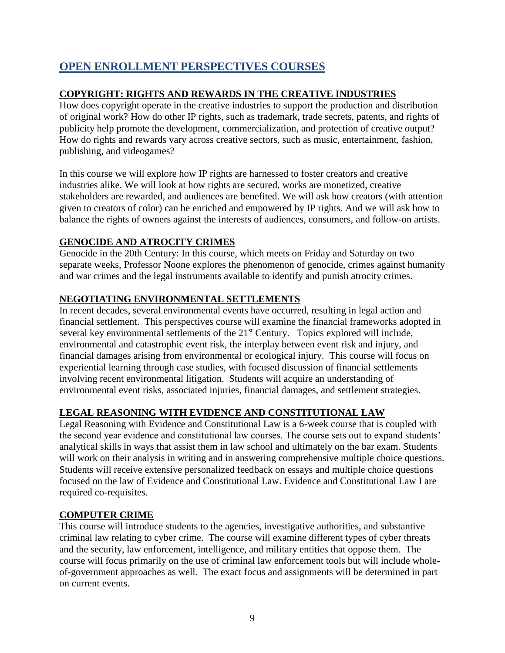# **OPEN ENROLLMENT PERSPECTIVES COURSES**

# **COPYRIGHT: RIGHTS AND REWARDS IN THE CREATIVE INDUSTRIES**

How does copyright operate in the creative industries to support the production and distribution of original work? How do other IP rights, such as trademark, trade secrets, patents, and rights of publicity help promote the development, commercialization, and protection of creative output? How do rights and rewards vary across creative sectors, such as music, entertainment, fashion, publishing, and videogames?

In this course we will explore how IP rights are harnessed to foster creators and creative industries alike. We will look at how rights are secured, works are monetized, creative stakeholders are rewarded, and audiences are benefited. We will ask how creators (with attention given to creators of color) can be enriched and empowered by IP rights. And we will ask how to balance the rights of owners against the interests of audiences, consumers, and follow-on artists.

# **GENOCIDE AND ATROCITY CRIMES**

Genocide in the 20th Century: In this course, which meets on Friday and Saturday on two separate weeks, Professor Noone explores the phenomenon of genocide, crimes against humanity and war crimes and the legal instruments available to identify and punish atrocity crimes.

# **NEGOTIATING ENVIRONMENTAL SETTLEMENTS**

In recent decades, several environmental events have occurred, resulting in legal action and financial settlement. This perspectives course will examine the financial frameworks adopted in several key environmental settlements of the 21<sup>st</sup> Century. Topics explored will include, environmental and catastrophic event risk, the interplay between event risk and injury, and financial damages arising from environmental or ecological injury. This course will focus on experiential learning through case studies, with focused discussion of financial settlements involving recent environmental litigation. Students will acquire an understanding of environmental event risks, associated injuries, financial damages, and settlement strategies.

# **LEGAL REASONING WITH EVIDENCE AND CONSTITUTIONAL LAW**

Legal Reasoning with Evidence and Constitutional Law is a 6-week course that is coupled with the second year evidence and constitutional law courses. The course sets out to expand students' analytical skills in ways that assist them in law school and ultimately on the bar exam. Students will work on their analysis in writing and in answering comprehensive multiple choice questions. Students will receive extensive personalized feedback on essays and multiple choice questions focused on the law of Evidence and Constitutional Law. Evidence and Constitutional Law I are required co-requisites.

### **COMPUTER CRIME**

This course will introduce students to the agencies, investigative authorities, and substantive criminal law relating to cyber crime. The course will examine different types of cyber threats and the security, law enforcement, intelligence, and military entities that oppose them. The course will focus primarily on the use of criminal law enforcement tools but will include wholeof-government approaches as well. The exact focus and assignments will be determined in part on current events.